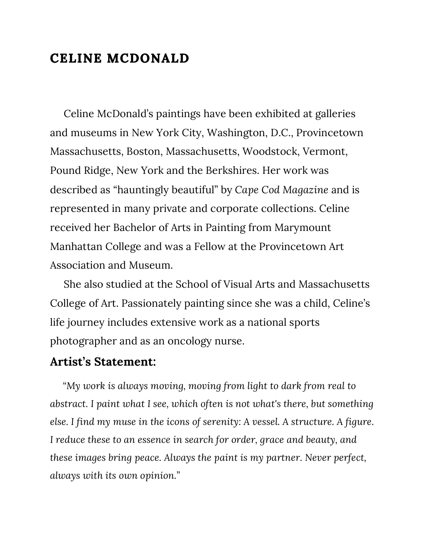## **CELINE MCDONALD**

 Celine McDonald's paintings have been exhibited at galleries and museums in New York City, Washington, D.C., Provincetown Massachusetts, Boston, Massachusetts, Woodstock, Vermont, Pound Ridge, New York and the Berkshires. Her work was described as "hauntingly beautiful" by *Cape Cod Magazine* and is represented in many private and corporate collections. Celine received her Bachelor of Arts in Painting from Marymount Manhattan College and was a Fellow at the Provincetown Art Association and Museum.

 She also studied at the School of Visual Arts and Massachusetts College of Art. Passionately painting since she was a child, Celine's life journey includes extensive work as a national sports photographer and as an oncology nurse.

## **Artist's Statement:**

 *"My work is always moving, moving from light to dark from real to abstract. I paint what I see, which often is not what's there, but something else. I find my muse in the icons of serenity: A vessel. A structure. A figure. I reduce these to an essence in search for order, grace and beauty, and these images bring peace. Always the paint is my partner. Never perfect, always with its own opinion."*